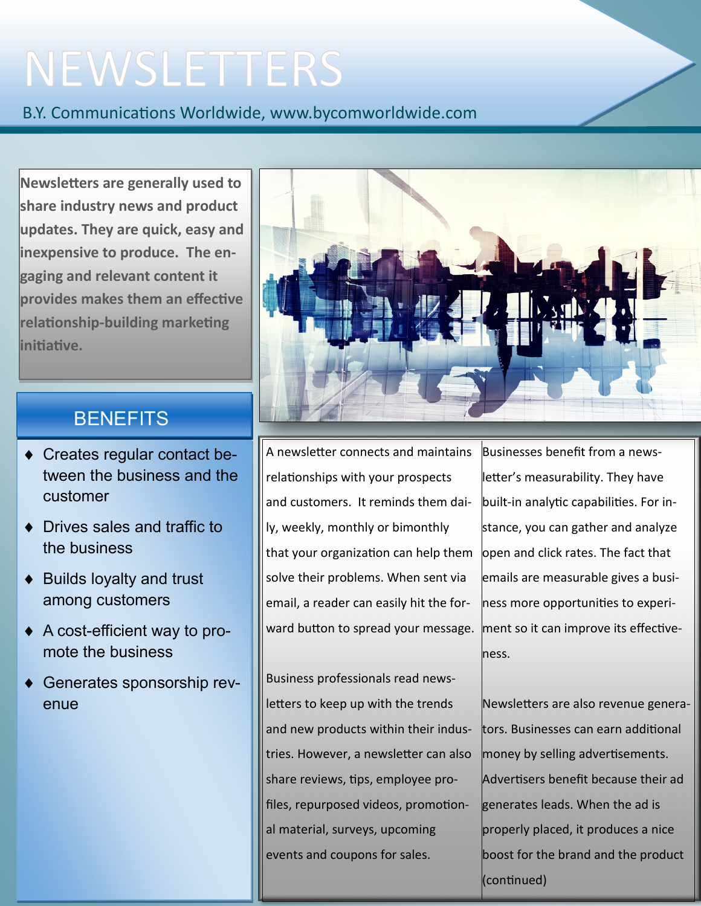## NEWSLETTERS

B.Y. Communications Worldwide, www.bycomworldwide.com

**Newsletters are generally used to share industry news and product updates. They are quick, easy and inexpensive to produce. The engaging and relevant content it provides makes them an effective relationship-building marketing initiative.** 

## **BENEFITS**

- Creates regular contact between the business and the customer
- Drives sales and traffic to the business
- ◆ Builds loyalty and trust among customers
- A cost-efficient way to promote the business
- Generates sponsorship revenue



A newsletter connects and maintains relationships with your prospects and customers. It reminds them daily, weekly, monthly or bimonthly that your organization can help them solve their problems. When sent via email, a reader can easily hit the forward button to spread your message.

Business professionals read newsletters to keep up with the trends and new products within their industries. However, a newsletter can also share reviews, tips, employee profiles, repurposed videos, promotional material, surveys, upcoming events and coupons for sales.

Businesses benefit from a newsletter's measurability. They have built-in analytic capabilities. For instance, you can gather and analyze lopen and click rates. The fact that emails are measurable gives a business more opportunities to experiment so it can improve its effectiveness.

Newsletters are also revenue generators. Businesses can earn additional money by selling advertisements. Advertisers benefit because their ad generates leads. When the ad is properly placed, it produces a nice boost for the brand and the product (continued)